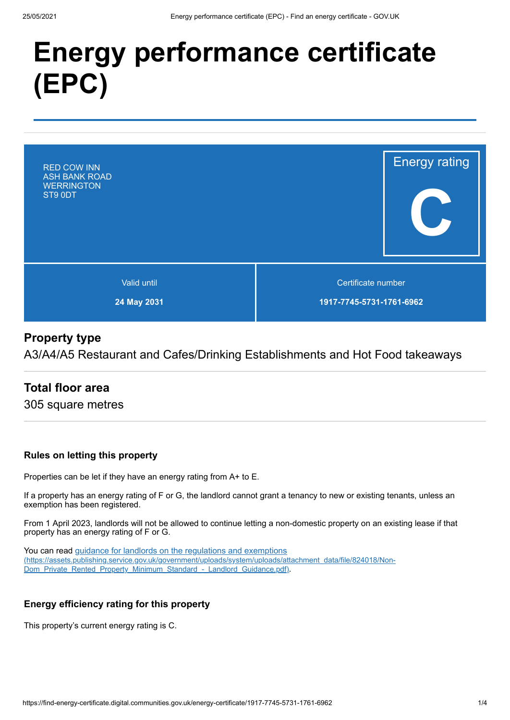# **Energy performance certificate (EPC)**



# **Property type**

A3/A4/A5 Restaurant and Cafes/Drinking Establishments and Hot Food takeaways

# **Total floor area**

305 square metres

#### **Rules on letting this property**

Properties can be let if they have an energy rating from A+ to E.

If a property has an energy rating of F or G, the landlord cannot grant a tenancy to new or existing tenants, unless an exemption has been registered.

From 1 April 2023, landlords will not be allowed to continue letting a non-domestic property on an existing lease if that property has an energy rating of F or G.

You can read guidance for landlords on the regulations and exemptions (https://assets.publishing.service.gov.uk/government/uploads/system/uploads/attachment\_data/file/824018/Non-Dom\_Private\_Rented\_Property\_Minimum\_Standard - Landlord\_Guidance.pdf).

#### **Energy efficiency rating for this property**

This property's current energy rating is C.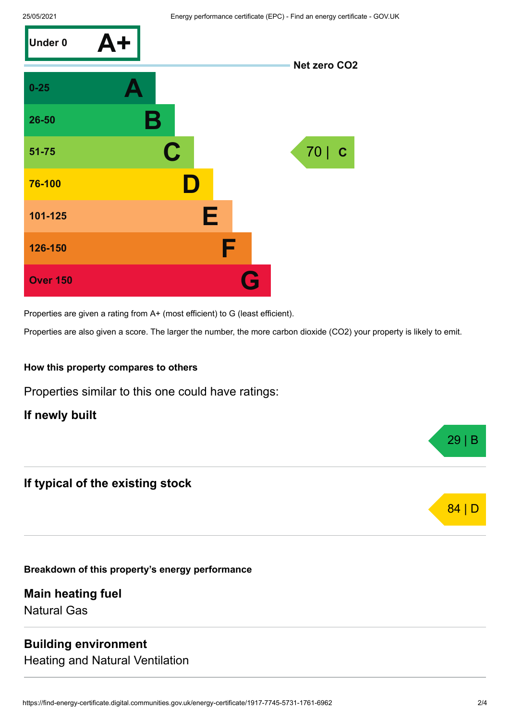

Properties are given a rating from A+ (most efficient) to G (least efficient).

Properties are also given a score. The larger the number, the more carbon dioxide (CO2) your property is likely to emit.

#### **How this property compares to others**

Properties similar to this one could have ratings:

**If newly built**

# **If typical of the existing stock**

**Breakdown of this property's energy performance**

**Main heating fuel** Natural Gas

#### **Building environment**

Heating and Natural Ventilation



29 | B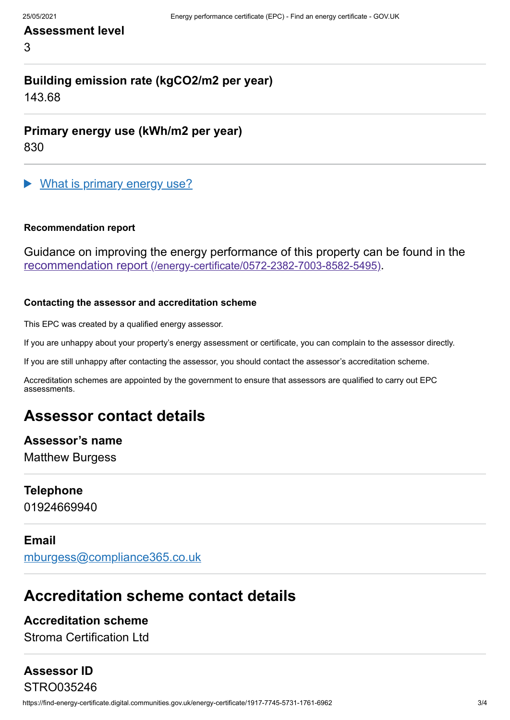## **Assessment level**

3

# **Building emission rate (kgCO2/m2 per year)**

143.68

**Primary energy use (kWh/m2 per year)**

830

What is primary energy use?

#### **Recommendation report**

Guidance on improving the energy performance of this property can be found in the recommendation report (/energy-certificate/0572-2382-7003-8582-5495).

#### **Contacting the assessor and accreditation scheme**

This EPC was created by a qualified energy assessor.

If you are unhappy about your property's energy assessment or certificate, you can complain to the assessor directly.

If you are still unhappy after contacting the assessor, you should contact the assessor's accreditation scheme.

Accreditation schemes are appointed by the government to ensure that assessors are qualified to carry out EPC assessments.

# **Assessor contact details**

**Assessor's name** Matthew Burgess

#### **Telephone**

01924669940

#### **Email**

mburgess@compliance365.co.uk

# **Accreditation scheme contact details**

## **Accreditation scheme**

Stroma Certification Ltd

# **Assessor ID**

https://find-energy-certificate.digital.communities.gov.uk/energy-certificate/1917-7745-5731-1761-6962 3/4 STRO035246